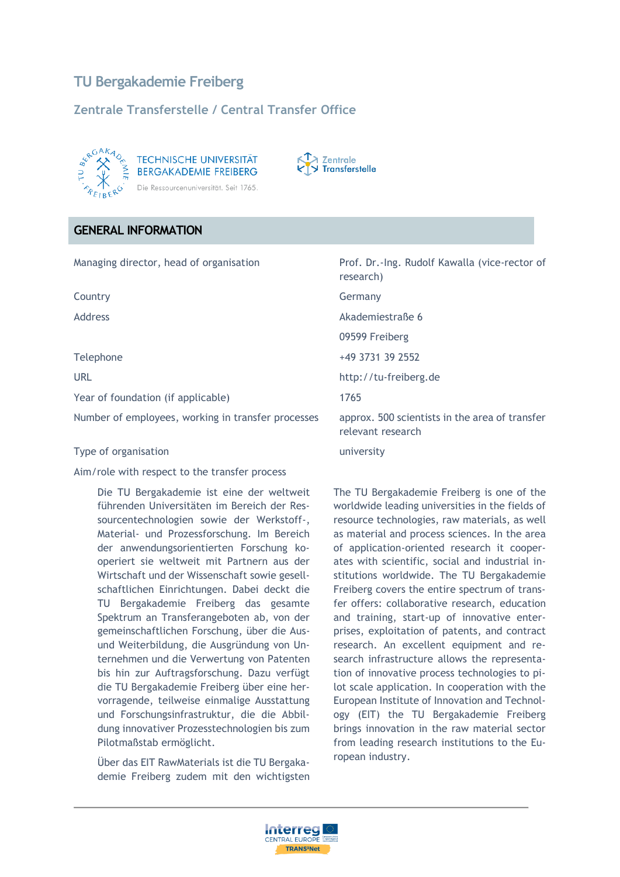# **TU Bergakademie Freiberg**

## **Zentrale Transferstelle / Central Transfer Office**



**TECHNISCHE UNIVERSITÄT BERGAKADEMIE FREIBERG** Die Ressourcenuniversität. Seit 1765.



#### **GENERAL INFORMATION**

| Managing director, head of organisation            | Prof. Dr.-Ing. Rudolf Kawalla (vice-rector of<br>research)          |
|----------------------------------------------------|---------------------------------------------------------------------|
| Country                                            | Germany                                                             |
| Address                                            | Akademiestraße 6                                                    |
|                                                    | 09599 Freiberg                                                      |
| Telephone                                          | +49 3731 39 2552                                                    |
| <b>URL</b>                                         | http://tu-freiberg.de                                               |
| Year of foundation (if applicable)                 | 1765                                                                |
| Number of employees, working in transfer processes | approx. 500 scientists in the area of transfer<br>relevant research |
| Type of organisation                               | university                                                          |

Aim/role with respect to the transfer process

Die TU Bergakademie ist eine der weltweit führenden Universitäten im Bereich der Ressourcentechnologien sowie der Werkstoff-, Material- und Prozessforschung. Im Bereich der anwendungsorientierten Forschung kooperiert sie weltweit mit Partnern aus der Wirtschaft und der Wissenschaft sowie gesellschaftlichen Einrichtungen. Dabei deckt die TU Bergakademie Freiberg das gesamte Spektrum an Transferangeboten ab, von der gemeinschaftlichen Forschung, über die Ausund Weiterbildung, die Ausgründung von Unternehmen und die Verwertung von Patenten bis hin zur Auftragsforschung. Dazu verfügt die TU Bergakademie Freiberg über eine hervorragende, teilweise einmalige Ausstattung und Forschungsinfrastruktur, die die Abbildung innovativer Prozesstechnologien bis zum Pilotmaßstab ermöglicht.

Über das EIT RawMaterials ist die TU Bergakademie Freiberg zudem mit den wichtigsten The TU Bergakademie Freiberg is one of the worldwide leading universities in the fields of resource technologies, raw materials, as well as material and process sciences. In the area of application-oriented research it cooperates with scientific, social and industrial institutions worldwide. The TU Bergakademie Freiberg covers the entire spectrum of transfer offers: collaborative research, education and training, start-up of innovative enterprises, exploitation of patents, and contract research. An excellent equipment and research infrastructure allows the representation of innovative process technologies to pilot scale application. In cooperation with the European Institute of Innovation and Technology (EIT) the TU Bergakademie Freiberg brings innovation in the raw material sector from leading research institutions to the European industry.

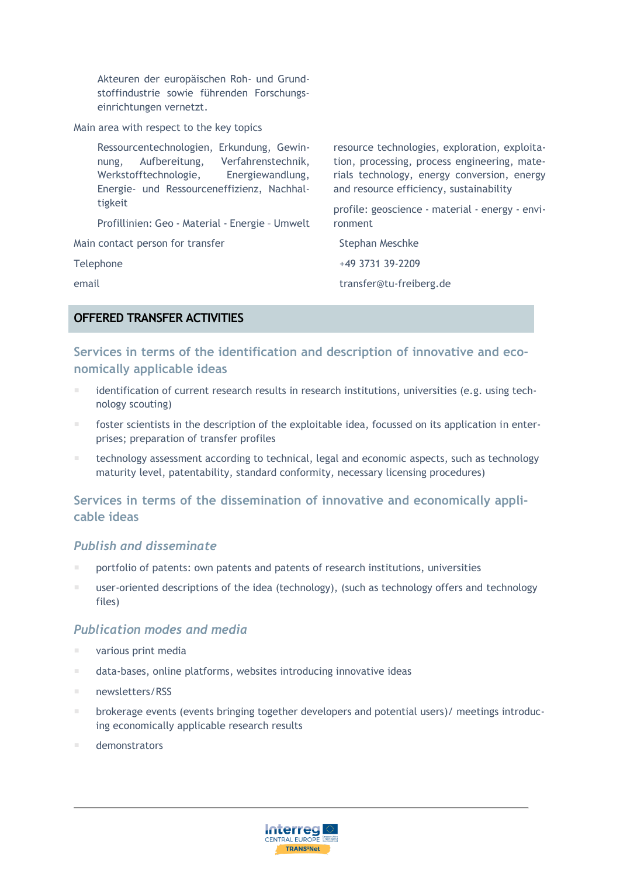Akteuren der europäischen Roh- und Grundstoffindustrie sowie führenden Forschungseinrichtungen vernetzt.

Main area with respect to the key topics

| Ressourcentechnologien, Erkundung, Gewin-<br>Verfahrenstechnik,<br>Aufbereitung,<br>nung,<br>Werkstofftechnologie,<br>Energiewandlung,<br>Energie- und Ressourceneffizienz, Nachhal- | resource technologies, exploration, exploita-<br>tion, processing, process engineering, mate-<br>rials technology, energy conversion, energy<br>and resource efficiency, sustainability |
|--------------------------------------------------------------------------------------------------------------------------------------------------------------------------------------|-----------------------------------------------------------------------------------------------------------------------------------------------------------------------------------------|
| tigkeit<br>Profillinien: Geo - Material - Energie - Umwelt                                                                                                                           | profile: geoscience - material - energy - envi-<br>ronment                                                                                                                              |
| Main contact person for transfer                                                                                                                                                     | Stephan Meschke                                                                                                                                                                         |
| Telephone                                                                                                                                                                            | +49 3731 39-2209                                                                                                                                                                        |
| email                                                                                                                                                                                | transfer@tu-freiberg.de                                                                                                                                                                 |
|                                                                                                                                                                                      |                                                                                                                                                                                         |

## **OFFERED TRANSFER ACTIVITIES**

## **Services in terms of the identification and description of innovative and economically applicable ideas**

- identification of current research results in research institutions, universities (e.g. using technology scouting)
- foster scientists in the description of the exploitable idea, focussed on its application in enterprises; preparation of transfer profiles
- technology assessment according to technical, legal and economic aspects, such as technology maturity level, patentability, standard conformity, necessary licensing procedures)

## **Services in terms of the dissemination of innovative and economically applicable ideas**

#### *Publish and disseminate*

- portfolio of patents: own patents and patents of research institutions, universities
- user-oriented descriptions of the idea (technology), (such as technology offers and technology files)

#### *Publication modes and media*

- various print media
- data-bases, online platforms, websites introducing innovative ideas
- newsletters/RSS
- **brokerage events (events bringing together developers and potential users)/ meetings introduc**ing economically applicable research results
- demonstrators

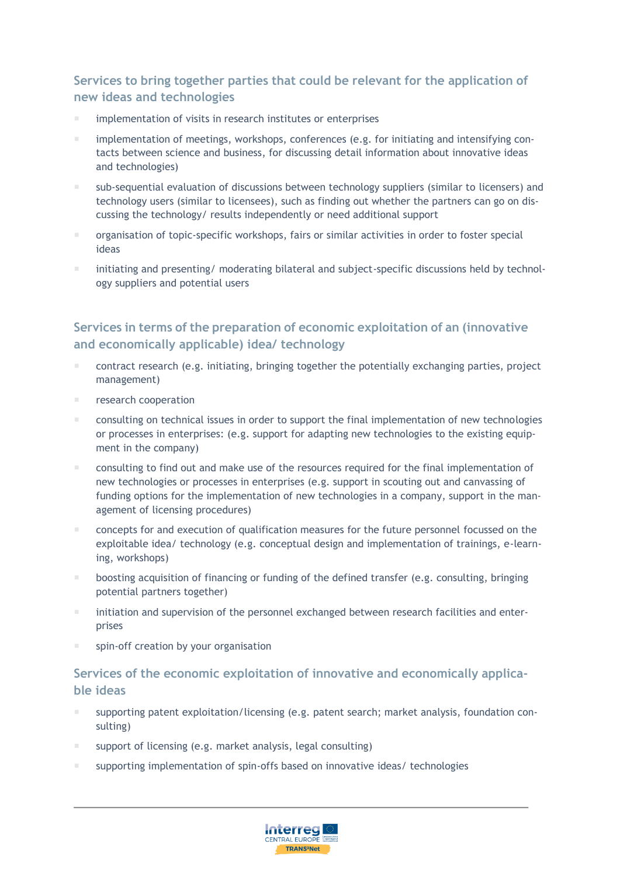## **Services to bring together parties that could be relevant for the application of new ideas and technologies**

- implementation of visits in research institutes or enterprises
- **implementation of meetings, workshops, conferences (e.g. for initiating and intensifying con**tacts between science and business, for discussing detail information about innovative ideas and technologies)
- sub-sequential evaluation of discussions between technology suppliers (similar to licensers) and technology users (similar to licensees), such as finding out whether the partners can go on discussing the technology/ results independently or need additional support
- **F** organisation of topic-specific workshops, fairs or similar activities in order to foster special ideas
- initiating and presenting/ moderating bilateral and subject-specific discussions held by technology suppliers and potential users

## **Services in terms of the preparation of economic exploitation of an (innovative and economically applicable) idea/ technology**

- contract research (e.g. initiating, bringing together the potentially exchanging parties, project management)
- **Fig.** research cooperation
- **E** consulting on technical issues in order to support the final implementation of new technologies or processes in enterprises: (e.g. support for adapting new technologies to the existing equipment in the company)
- consulting to find out and make use of the resources required for the final implementation of new technologies or processes in enterprises (e.g. support in scouting out and canvassing of funding options for the implementation of new technologies in a company, support in the management of licensing procedures)
- concepts for and execution of qualification measures for the future personnel focussed on the exploitable idea/ technology (e.g. conceptual design and implementation of trainings, e-learning, workshops)
- boosting acquisition of financing or funding of the defined transfer (e.g. consulting, bringing potential partners together)
- initiation and supervision of the personnel exchanged between research facilities and enterprises
- spin-off creation by your organisation

## **Services of the economic exploitation of innovative and economically applicable ideas**

- supporting patent exploitation/licensing (e.g. patent search; market analysis, foundation consulting)
- support of licensing (e.g. market analysis, legal consulting)
- supporting implementation of spin-offs based on innovative ideas/ technologies

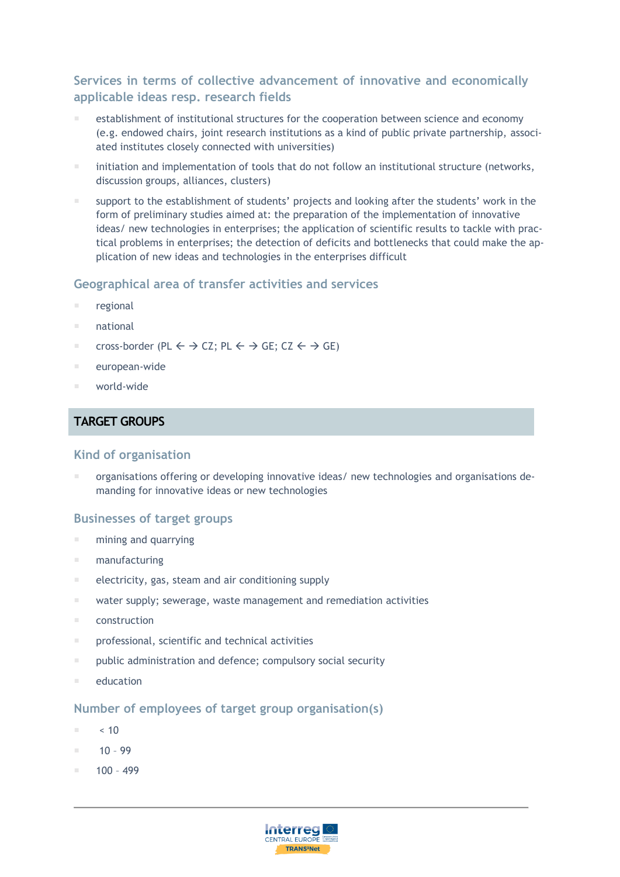## **Services in terms of collective advancement of innovative and economically applicable ideas resp. research fields**

- establishment of institutional structures for the cooperation between science and economy (e.g. endowed chairs, joint research institutions as a kind of public private partnership, associated institutes closely connected with universities)
- initiation and implementation of tools that do not follow an institutional structure (networks, discussion groups, alliances, clusters)
- support to the establishment of students' projects and looking after the students' work in the form of preliminary studies aimed at: the preparation of the implementation of innovative ideas/ new technologies in enterprises; the application of scientific results to tackle with practical problems in enterprises; the detection of deficits and bottlenecks that could make the application of new ideas and technologies in the enterprises difficult

#### **Geographical area of transfer activities and services**

- regional
- national
- cross-border (PL  $\leftarrow \rightarrow$  CZ; PL  $\leftarrow \rightarrow$  GE; CZ  $\leftarrow \rightarrow$  GE)
- european-wide
- world-wide

#### **TARGET GROUPS**

#### **Kind of organisation**

 organisations offering or developing innovative ideas/ new technologies and organisations demanding for innovative ideas or new technologies

#### **Businesses of target groups**

- mining and quarrying
- manufacturing
- **E** electricity, gas, steam and air conditioning supply
- water supply; sewerage, waste management and remediation activities
- $\blacksquare$  construction
- **professional, scientific and technical activities**
- **Phints** public administration and defence; compulsory social security
- **E** education

#### **Number of employees of target group organisation(s)**

- $\sim 10$
- $10 99$
- 100 499